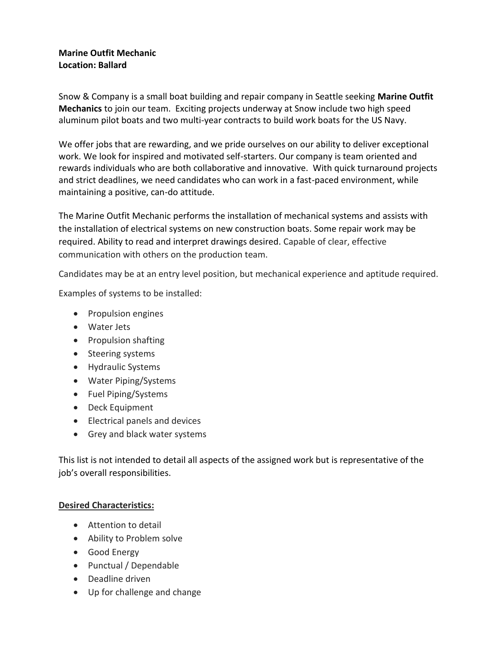# **Marine Outfit Mechanic Location: Ballard**

Snow & Company is a small boat building and repair company in Seattle seeking **Marine Outfit Mechanics** to join our team. Exciting projects underway at Snow include two high speed aluminum pilot boats and two multi-year contracts to build work boats for the US Navy.

We offer jobs that are rewarding, and we pride ourselves on our ability to deliver exceptional work. We look for inspired and motivated self-starters. Our company is team oriented and rewards individuals who are both collaborative and innovative. With quick turnaround projects and strict deadlines, we need candidates who can work in a fast-paced environment, while maintaining a positive, can-do attitude.

The Marine Outfit Mechanic performs the installation of mechanical systems and assists with the installation of electrical systems on new construction boats. Some repair work may be required. Ability to read and interpret drawings desired. Capable of clear, effective communication with others on the production team.

Candidates may be at an entry level position, but mechanical experience and aptitude required.

Examples of systems to be installed:

- Propulsion engines
- Water Jets
- Propulsion shafting
- Steering systems
- Hydraulic Systems
- Water Piping/Systems
- Fuel Piping/Systems
- Deck Equipment
- Electrical panels and devices
- Grey and black water systems

This list is not intended to detail all aspects of the assigned work but is representative of the job's overall responsibilities.

### **Desired Characteristics:**

- Attention to detail
- Ability to Problem solve
- Good Energy
- Punctual / Dependable
- Deadline driven
- Up for challenge and change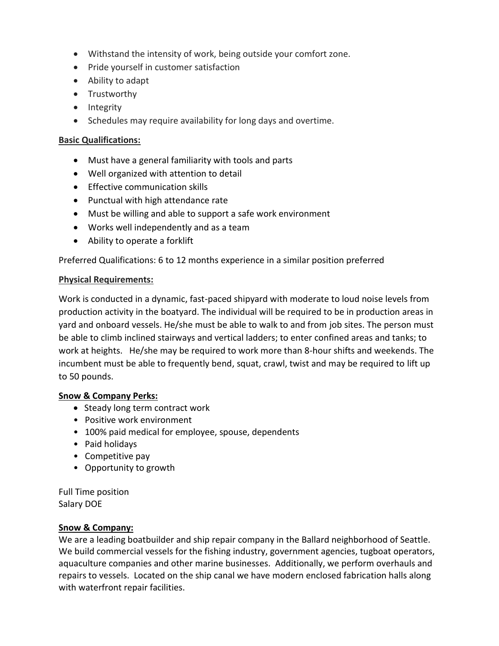- Withstand the intensity of work, being outside your comfort zone.
- Pride yourself in customer satisfaction
- Ability to adapt
- Trustworthy
- Integrity
- Schedules may require availability for long days and overtime.

## **Basic Qualifications:**

- Must have a general familiarity with tools and parts
- Well organized with attention to detail
- Effective communication skills
- Punctual with high attendance rate
- Must be willing and able to support a safe work environment
- Works well independently and as a team
- Ability to operate a forklift

Preferred Qualifications: 6 to 12 months experience in a similar position preferred

### **Physical Requirements:**

Work is conducted in a dynamic, fast-paced shipyard with moderate to loud noise levels from production activity in the boatyard. The individual will be required to be in production areas in yard and onboard vessels. He/she must be able to walk to and from job sites. The person must be able to climb inclined stairways and vertical ladders; to enter confined areas and tanks; to work at heights. He/she may be required to work more than 8-hour shifts and weekends. The incumbent must be able to frequently bend, squat, crawl, twist and may be required to lift up to 50 pounds.

### **Snow & Company Perks:**

- Steady long term contract work
- Positive work environment
- 100% paid medical for employee, spouse, dependents
- Paid holidays
- Competitive pay
- Opportunity to growth

Full Time position Salary DOE

### **Snow & Company:**

We are a leading boatbuilder and ship repair company in the Ballard neighborhood of Seattle. We build commercial vessels for the fishing industry, government agencies, tugboat operators, aquaculture companies and other marine businesses. Additionally, we perform overhauls and repairs to vessels. Located on the ship canal we have modern enclosed fabrication halls along with waterfront repair facilities.